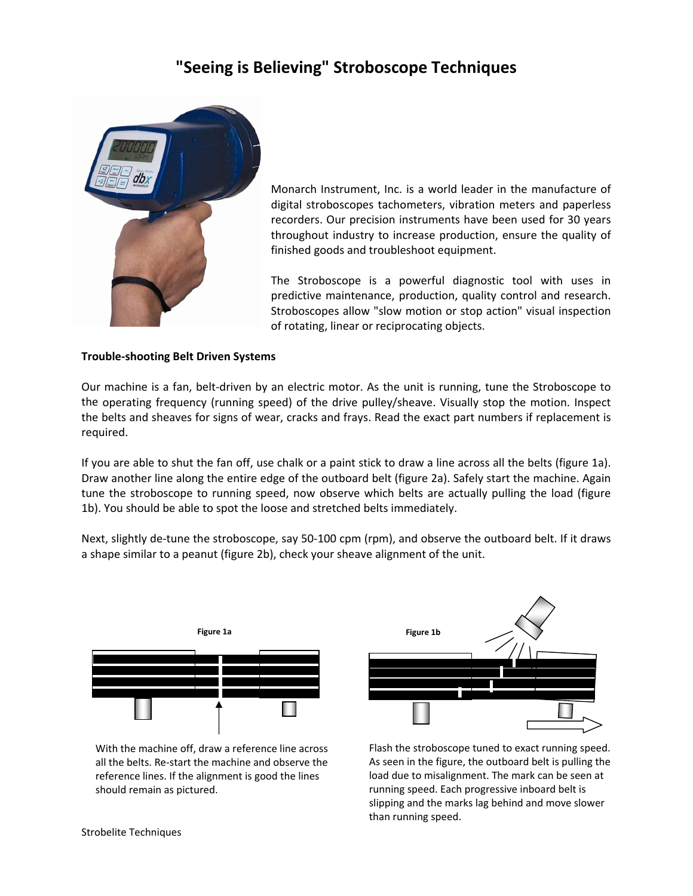# **"Seeing is Believing" Stroboscope Techniques**



Monarch Instrument, Inc. is a world leader in the manufacture of digital stroboscopes tachometers, vibration meters and paperless recorders. Our precision instruments have been used for 30 years throughout industry to increase production, ensure the quality of finished goods and troubleshoot equipment.

The Stroboscope is a powerful diagnostic tool with uses in predictive maintenance, production, quality control and research. Stroboscopes allow "slow motion or stop action" visual inspection of rotating, linear or reciprocating objects.

# **Trouble‐shooting Belt Driven Systems**

Our machine is a fan, belt‐driven by an electric motor. As the unit is running, tune the Stroboscope to the operating frequency (running speed) of the drive pulley/sheave. Visually stop the motion. Inspect the belts and sheaves for signs of wear, cracks and frays. Read the exact part numbers if replacement is required.

If you are able to shut the fan off, use chalk or a paint stick to draw a line across all the belts (figure 1a). Draw another line along the entire edge of the outboard belt (figure 2a). Safely start the machine. Again tune the stroboscope to running speed, now observe which belts are actually pulling the load (figure 1b). You should be able to spot the loose and stretched belts immediately.

Next, slightly de-tune the stroboscope, say 50-100 cpm (rpm), and observe the outboard belt. If it draws a shape similar to a peanut (figure 2b), check your sheave alignment of the unit.



With the machine off, draw a reference line across all the belts. Re‐start the machine and observe the reference lines. If the alignment is good the lines should remain as pictured.



Flash the stroboscope tuned to exact running speed. As seen in the figure, the outboard belt is pulling the load due to misalignment. The mark can be seen at running speed. Each progressive inboard belt is slipping and the marks lag behind and move slower than running speed.

Strobelite Techniques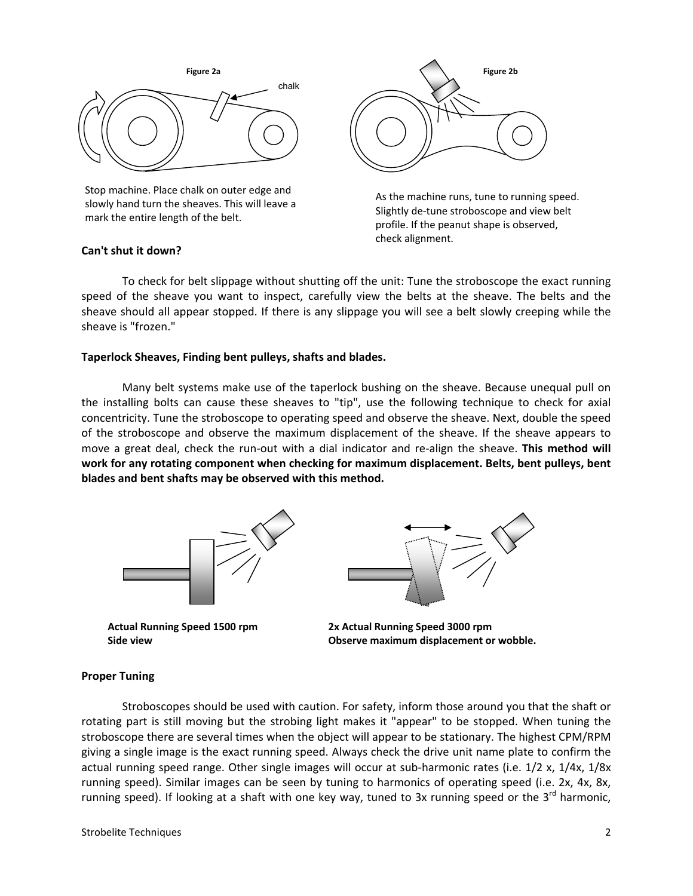

Stop machine. Place chalk on outer edge and slowly hand turn the sheaves. This will leave a mark the entire length of the belt.



As the machine runs, tune to running speed. Slightly de‐tune stroboscope and view belt profile. If the peanut shape is observed, check alignment.

# **Can't shut it down?**

To check for belt slippage without shutting off the unit: Tune the stroboscope the exact running speed of the sheave you want to inspect, carefully view the belts at the sheave. The belts and the sheave should all appear stopped. If there is any slippage you will see a belt slowly creeping while the sheave is "frozen."

#### **Taperlock Sheaves, Finding bent pulleys, shafts and blades.**

Many belt systems make use of the taperlock bushing on the sheave. Because unequal pull on the installing bolts can cause these sheaves to "tip", use the following technique to check for axial concentricity. Tune the stroboscope to operating speed and observe the sheave. Next, double the speed of the stroboscope and observe the maximum displacement of the sheave. If the sheave appears to move a great deal, check the run‐out with a dial indicator and re‐align the sheave. **This method will work for any rotating component when checking for maximum displacement. Belts, bent pulleys, bent blades and bent shafts may be observed with this method.**



**Actual Running Speed 1500 rpm Side view**

**2x Actual Running Speed 3000 rpm Observe maximum displacement or wobble.**

#### **Proper Tuning**

Stroboscopes should be used with caution. For safety, inform those around you that the shaft or rotating part is still moving but the strobing light makes it "appear" to be stopped. When tuning the stroboscope there are several times when the object will appear to be stationary. The highest CPM/RPM giving a single image is the exact running speed. Always check the drive unit name plate to confirm the actual running speed range. Other single images will occur at sub‐harmonic rates (i.e. 1/2 x, 1/4x, 1/8x running speed). Similar images can be seen by tuning to harmonics of operating speed (i.e. 2x, 4x, 8x, running speed). If looking at a shaft with one key way, tuned to 3x running speed or the  $3^{rd}$  harmonic,